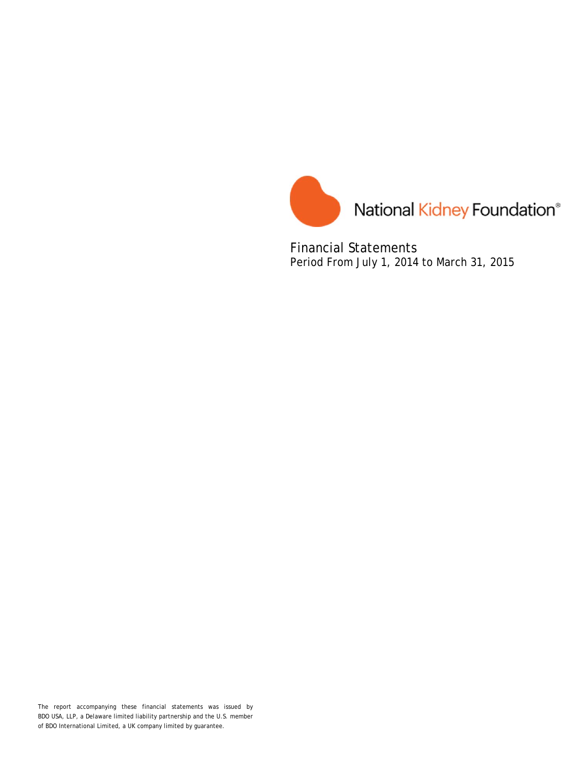

Financial Statements Period From July 1, 2014 to March 31, 2015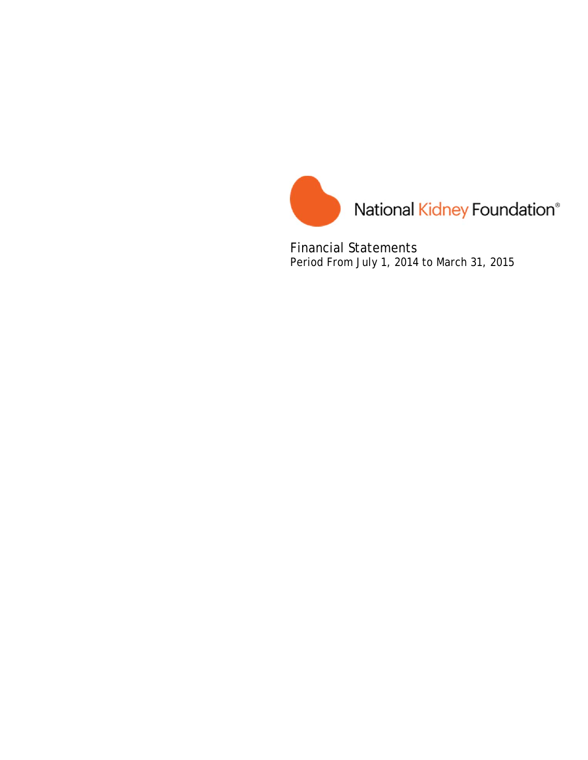

National Kidney Foundation®

Financial Statements Period From July 1, 2014 to March 31, 2015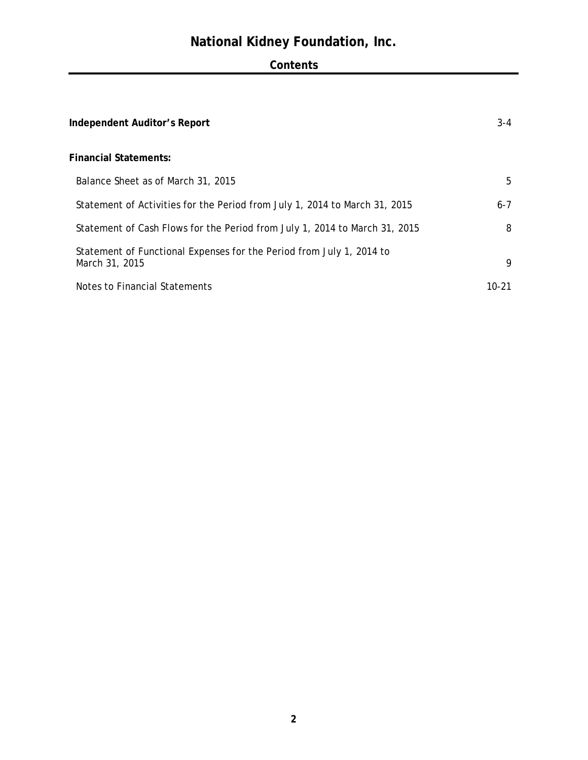# **National Kidney Foundation, Inc.**

# **Contents**

| Independent Auditor's Report                                                           | $3 - 4$ |
|----------------------------------------------------------------------------------------|---------|
| <b>Financial Statements:</b>                                                           |         |
| Balance Sheet as of March 31, 2015                                                     | 5       |
| Statement of Activities for the Period from July 1, 2014 to March 31, 2015             | $6 - 7$ |
| Statement of Cash Flows for the Period from July 1, 2014 to March 31, 2015             | 8       |
| Statement of Functional Expenses for the Period from July 1, 2014 to<br>March 31, 2015 | 9       |
| Notes to Financial Statements                                                          | 10-21   |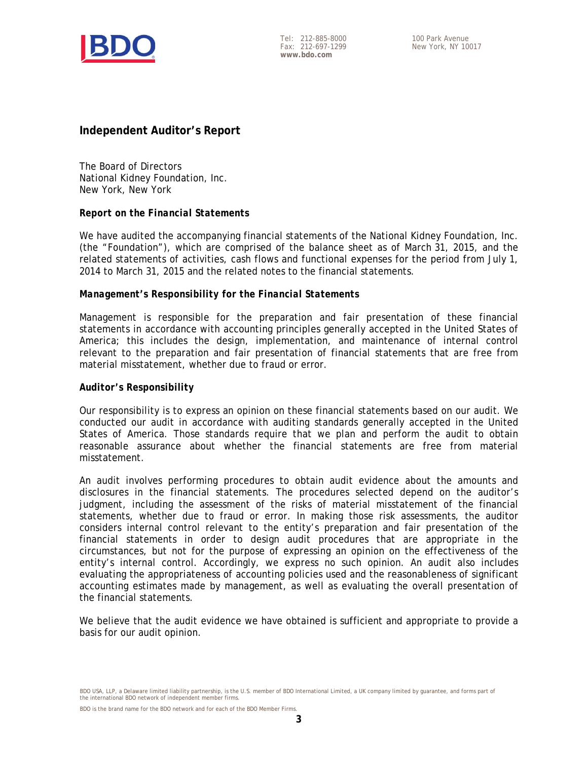

Tel: 212-885-8000 Fax: 212-697-1299 **www.bdo.com** 

# **Independent Auditor's Report**

The Board of Directors National Kidney Foundation, Inc. New York, New York

#### *Report on the Financial Statements*

We have audited the accompanying financial statements of the National Kidney Foundation, Inc. (the "Foundation"), which are comprised of the balance sheet as of March 31, 2015, and the related statements of activities, cash flows and functional expenses for the period from July 1, 2014 to March 31, 2015 and the related notes to the financial statements.

#### *Management's Responsibility for the Financial Statements*

Management is responsible for the preparation and fair presentation of these financial statements in accordance with accounting principles generally accepted in the United States of America; this includes the design, implementation, and maintenance of internal control relevant to the preparation and fair presentation of financial statements that are free from material misstatement, whether due to fraud or error.

#### *Auditor's Responsibility*

Our responsibility is to express an opinion on these financial statements based on our audit. We conducted our audit in accordance with auditing standards generally accepted in the United States of America. Those standards require that we plan and perform the audit to obtain reasonable assurance about whether the financial statements are free from material misstatement.

An audit involves performing procedures to obtain audit evidence about the amounts and disclosures in the financial statements. The procedures selected depend on the auditor's judgment, including the assessment of the risks of material misstatement of the financial statements, whether due to fraud or error. In making those risk assessments, the auditor considers internal control relevant to the entity's preparation and fair presentation of the financial statements in order to design audit procedures that are appropriate in the circumstances, but not for the purpose of expressing an opinion on the effectiveness of the entity's internal control. Accordingly, we express no such opinion. An audit also includes evaluating the appropriateness of accounting policies used and the reasonableness of significant accounting estimates made by management, as well as evaluating the overall presentation of the financial statements.

We believe that the audit evidence we have obtained is sufficient and appropriate to provide a basis for our audit opinion.

BDO USA, LLP, a Delaware limited liability partnership, is the U.S. member of BDO International Limited, a UK company limited by guarantee, and forms part of the international BDO network of independent member firms.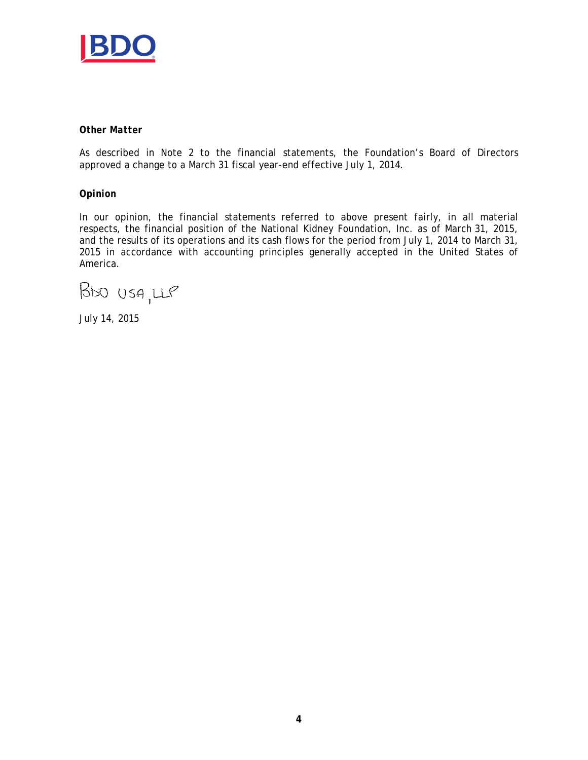

#### *Other Matter*

As described in Note 2 to the financial statements, the Foundation's Board of Directors approved a change to a March 31 fiscal year-end effective July 1, 2014.

#### *Opinion*

In our opinion, the financial statements referred to above present fairly, in all material respects, the financial position of the National Kidney Foundation, Inc. as of March 31, 2015, and the results of its operations and its cash flows for the period from July 1, 2014 to March 31, 2015 in accordance with accounting principles generally accepted in the United States of America.

BOO USA, LLP

July 14, 2015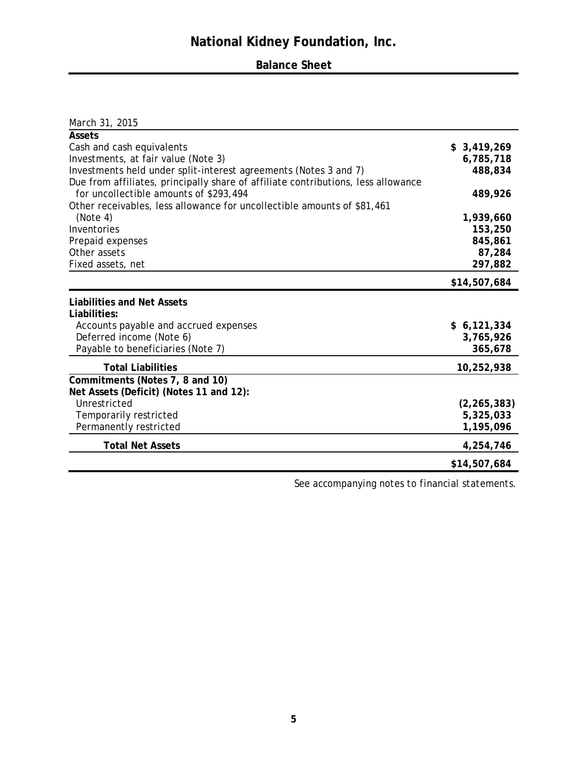# **National Kidney Foundation, Inc.**

# **Balance Sheet**

| <b>Assets</b>                                                                     |               |
|-----------------------------------------------------------------------------------|---------------|
| Cash and cash equivalents                                                         | \$3,419,269   |
| Investments, at fair value (Note 3)                                               | 6,785,718     |
| Investments held under split-interest agreements (Notes 3 and 7)                  | 488,834       |
| Due from affiliates, principally share of affiliate contributions, less allowance |               |
| for uncollectible amounts of \$293,494                                            | 489,926       |
| Other receivables, less allowance for uncollectible amounts of \$81,461           |               |
| (Note 4)                                                                          | 1,939,660     |
| Inventories                                                                       | 153,250       |
| Prepaid expenses                                                                  | 845,861       |
| Other assets                                                                      | 87,284        |
| Fixed assets, net                                                                 | 297,882       |
|                                                                                   | \$14,507,684  |
| <b>Liabilities and Net Assets</b>                                                 |               |
| Liabilities:                                                                      |               |
| Accounts payable and accrued expenses                                             | \$6,121,334   |
| Deferred income (Note 6)                                                          | 3,765,926     |
| Payable to beneficiaries (Note 7)                                                 | 365,678       |
|                                                                                   |               |
| <b>Total Liabilities</b>                                                          | 10,252,938    |
| Commitments (Notes 7, 8 and 10)                                                   |               |
| Net Assets (Deficit) (Notes 11 and 12):                                           |               |
| Unrestricted                                                                      | (2, 265, 383) |
| Temporarily restricted                                                            | 5,325,033     |
| Permanently restricted                                                            | 1,195,096     |
| <b>Total Net Assets</b>                                                           | 4,254,746     |
|                                                                                   | \$14,507,684  |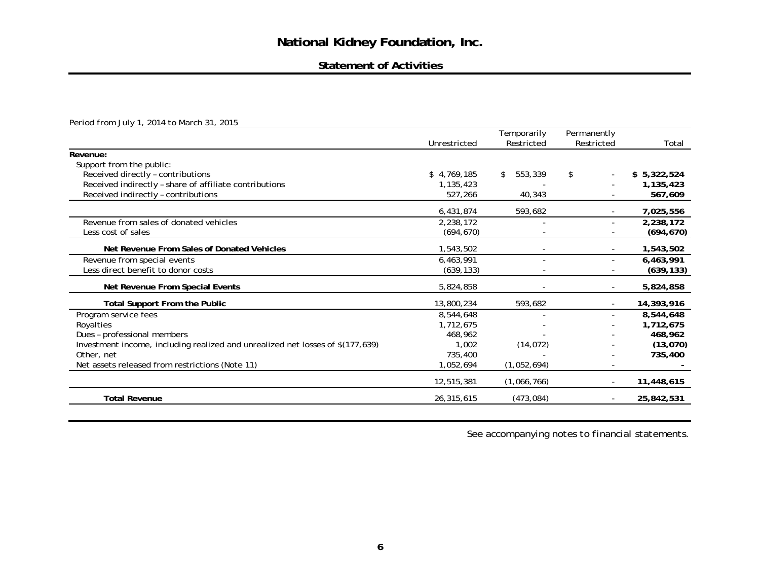#### **Statement of Activities**

*Period from July 1, 2014 to March 31, 2015*

|                                                                                |              | Temporarily   | Permanently  |             |
|--------------------------------------------------------------------------------|--------------|---------------|--------------|-------------|
|                                                                                | Unrestricted | Restricted    | Restricted   | Total       |
| Revenue:                                                                       |              |               |              |             |
| Support from the public:                                                       |              |               |              |             |
| Received directly - contributions                                              | \$4,769,185  | 553,339<br>\$ | \$<br>$\sim$ | \$5,322,524 |
| Received indirectly - share of affiliate contributions                         | 1,135,423    |               |              | 1,135,423   |
| Received indirectly - contributions                                            | 527,266      | 40,343        |              | 567,609     |
|                                                                                | 6,431,874    | 593,682       |              | 7,025,556   |
| Revenue from sales of donated vehicles                                         | 2,238,172    |               |              | 2,238,172   |
| Less cost of sales                                                             | (694, 670)   |               |              | (694, 670)  |
| Net Revenue From Sales of Donated Vehicles                                     | 1,543,502    |               | $\sim$       | 1,543,502   |
| Revenue from special events                                                    | 6,463,991    |               |              | 6,463,991   |
| Less direct benefit to donor costs                                             | (639, 133)   |               |              | (639, 133)  |
| Net Revenue From Special Events                                                | 5,824,858    |               | $\sim$       | 5,824,858   |
| <b>Total Support From the Public</b>                                           | 13,800,234   | 593,682       |              | 14,393,916  |
| Program service fees                                                           | 8,544,648    |               | $\sim$       | 8,544,648   |
| Royalties                                                                      | 1,712,675    |               |              | 1,712,675   |
| Dues - professional members                                                    | 468,962      |               |              | 468,962     |
| Investment income, including realized and unrealized net losses of \$(177,639) | 1,002        | (14, 072)     |              | (13,070)    |
| Other, net                                                                     | 735,400      |               |              | 735,400     |
| Net assets released from restrictions (Note 11)                                | 1,052,694    | (1,052,694)   |              |             |
|                                                                                | 12,515,381   | (1,066,766)   |              | 11,448,615  |
| <b>Total Revenue</b>                                                           | 26,315,615   | (473, 084)    |              | 25,842,531  |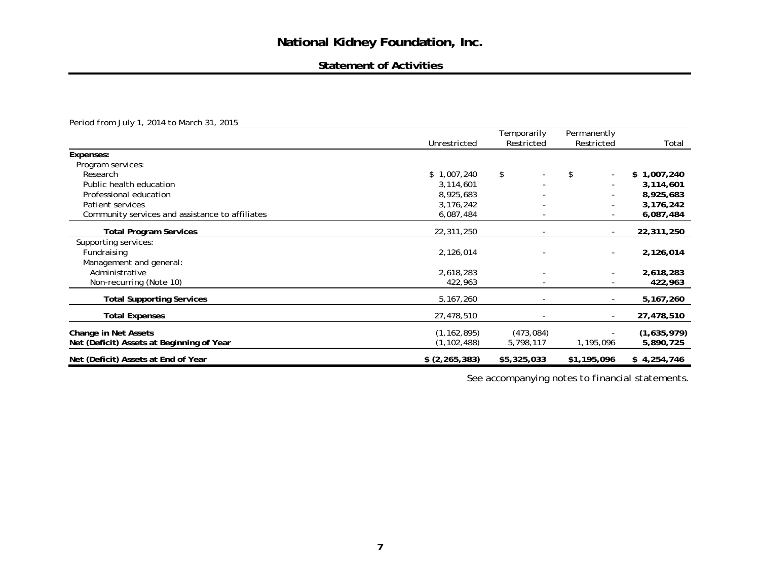#### **Statement of Activities**

*Period from July 1, 2014 to March 31, 2015*

|                                                 |                 | Temporarily              | Permanently                    |             |
|-------------------------------------------------|-----------------|--------------------------|--------------------------------|-------------|
|                                                 | Unrestricted    | Restricted               | Restricted                     | Total       |
| Expenses:                                       |                 |                          |                                |             |
| Program services:                               |                 |                          |                                |             |
| Research                                        | \$1,007,240     | \$                       | \$<br>$\overline{\phantom{a}}$ | \$1,007,240 |
| Public health education                         | 3,114,601       |                          |                                | 3,114,601   |
| Professional education                          | 8,925,683       |                          | $\overline{\phantom{a}}$       | 8,925,683   |
| Patient services                                | 3,176,242       | $\overline{\phantom{0}}$ | $\overline{\phantom{a}}$       | 3,176,242   |
| Community services and assistance to affiliates | 6,087,484       |                          | $\overline{\phantom{a}}$       | 6,087,484   |
| <b>Total Program Services</b>                   | 22,311,250      |                          |                                | 22,311,250  |
| Supporting services:                            |                 |                          |                                |             |
| Fundraising                                     | 2,126,014       |                          | $\overline{\phantom{0}}$       | 2,126,014   |
| Management and general:                         |                 |                          |                                |             |
| Administrative                                  | 2,618,283       |                          |                                | 2,618,283   |
| Non-recurring (Note 10)                         | 422,963         |                          |                                | 422,963     |
| <b>Total Supporting Services</b>                | 5, 167, 260     |                          | $\overline{\phantom{a}}$       | 5,167,260   |
| <b>Total Expenses</b>                           | 27,478,510      |                          |                                | 27,478,510  |
| Change in Net Assets                            | (1, 162, 895)   | (473, 084)               |                                | (1,635,979) |
| Net (Deficit) Assets at Beginning of Year       | (1, 102, 488)   | 5,798,117                | 1,195,096                      | 5,890,725   |
| Net (Deficit) Assets at End of Year             | \$(2, 265, 383) | \$5,325,033              | \$1,195,096                    | \$4,254,746 |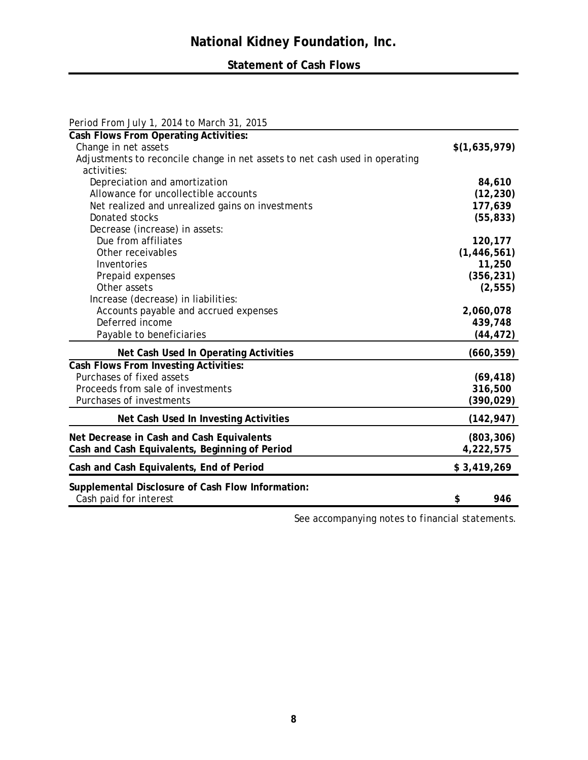# **National Kidney Foundation, Inc.**

# **Statement of Cash Flows**

*Period From July 1, 2014 to March 31, 2015*

| <b>Cash Flows From Operating Activities:</b>                                |               |            |
|-----------------------------------------------------------------------------|---------------|------------|
| Change in net assets                                                        | \$(1,635,979) |            |
| Adjustments to reconcile change in net assets to net cash used in operating |               |            |
| activities:                                                                 |               |            |
| Depreciation and amortization                                               |               | 84,610     |
| Allowance for uncollectible accounts                                        |               | (12, 230)  |
| Net realized and unrealized gains on investments                            |               | 177,639    |
| Donated stocks                                                              |               | (55, 833)  |
| Decrease (increase) in assets:                                              |               |            |
| Due from affiliates                                                         |               | 120,177    |
| Other receivables                                                           | (1, 446, 561) |            |
| Inventories                                                                 |               | 11,250     |
| Prepaid expenses                                                            |               | (356, 231) |
| Other assets                                                                |               | (2, 555)   |
| Increase (decrease) in liabilities:                                         |               |            |
| Accounts payable and accrued expenses                                       | 2,060,078     |            |
| Deferred income                                                             |               | 439,748    |
| Payable to beneficiaries                                                    |               | (44, 472)  |
| Net Cash Used In Operating Activities                                       |               | (660, 359) |
| Cash Flows From Investing Activities:                                       |               |            |
| Purchases of fixed assets                                                   |               | (69, 418)  |
| Proceeds from sale of investments                                           |               | 316,500    |
| Purchases of investments                                                    |               | (390,029)  |
| Net Cash Used In Investing Activities                                       |               | (142, 947) |
| Net Decrease in Cash and Cash Equivalents                                   |               | (803, 306) |
| Cash and Cash Equivalents, Beginning of Period                              | 4,222,575     |            |
|                                                                             |               |            |
| Cash and Cash Equivalents, End of Period                                    | \$3,419,269   |            |
| Supplemental Disclosure of Cash Flow Information:                           |               |            |
| Cash paid for interest                                                      | \$            | 946        |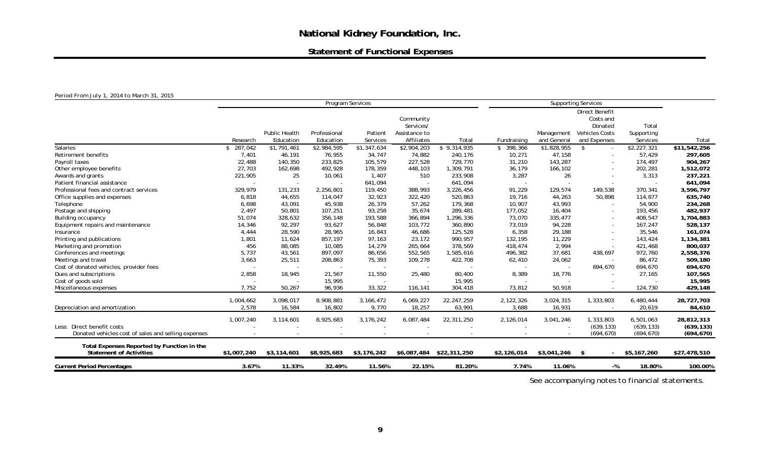*Period From July 1, 2014 to March 31, 2015* 

|                                                                              |             |               | Program Services |             |                                         |                          |             |                 | <b>Supporting Services</b>                                      |                     |              |
|------------------------------------------------------------------------------|-------------|---------------|------------------|-------------|-----------------------------------------|--------------------------|-------------|-----------------|-----------------------------------------------------------------|---------------------|--------------|
|                                                                              |             | Public Health | Professional     | Patient     | Community<br>Services/<br>Assistance to |                          |             | Management      | Direct Benefit<br>Costs and<br>Donated<br><b>Vehicles Costs</b> | Total<br>Supporting |              |
|                                                                              | Research    | Education     | Education        | Services    | Affiliates                              | Total                    | Fundraising | and General     | and Expenses                                                    | Services            | Total        |
| <b>Salaries</b>                                                              | \$287,042   | \$1,791,461   | \$2,984,595      | \$1,347,634 | \$2,904,203                             | \$9,314,935              | \$398,366   | \$1,828,955     | \$                                                              | \$2,227,321         | \$11,542,256 |
| Retirement benefits                                                          | 7,401       | 46,191        | 76,955           | 34,747      | 74,882                                  | 240,176                  | 10,271      | 47,158          |                                                                 | 57,429              | 297,605      |
| Payroll taxes                                                                | 22,488      | 140,350       | 233,825          | 105,579     | 227,528                                 | 729,770                  | 31,210      | 143,287         |                                                                 | 174,497             | 904,267      |
| Other employee benefits                                                      | 27,703      | 162,698       | 492,928          | 178,359     | 448,103                                 | 1,309,791                | 36,179      | 166,102         |                                                                 | 202,281             | 1,512,072    |
| Awards and grants                                                            | 221,905     | 25            | 10,061           | 1,407       | 510                                     | 233,908                  | 3,287       | 26              |                                                                 | 3,313               | 237,221      |
| Patient financial assistance                                                 |             |               |                  | 641,094     |                                         | 641,094                  | $\sim$      |                 | $\sim$                                                          |                     | 641,094      |
| Professional fees and contract services                                      | 329,979     | 131,233       | 2,256,801        | 119,450     | 388,993                                 | 3,226,456                | 91,229      | 129,574         | 149,538                                                         | 370,341             | 3,596,797    |
| Office supplies and expenses                                                 | 6,818       | 44,655        | 114,047          | 32,923      | 322,420                                 | 520,863                  | 19,716      | 44,263          | 50,898                                                          | 114,877             | 635,740      |
| Telephone                                                                    | 6,698       | 43,091        | 45,938           | 26,379      | 57,262                                  | 179,368                  | 10,907      | 43,993          | $\sim$                                                          | 54,900              | 234,268      |
| Postage and shipping                                                         | 2,497       | 50,801        | 107,251          | 93,258      | 35,674                                  | 289,481                  | 177,052     | 16,404          | $\sim$                                                          | 193,456             | 482,937      |
| <b>Building occupancy</b>                                                    | 51,074      | 328,632       | 356,148          | 193,588     | 366,894                                 | 1,296,336                | 73,070      | 335,477         | $\sim$                                                          | 408,547             | 1,704,883    |
| Equipment repairs and maintenance                                            | 14,346      | 92,297        | 93,627           | 56,848      | 103,772                                 | 360,890                  | 73,019      | 94,228          | $\sim$                                                          | 167,247             | 528,137      |
| Insurance                                                                    | 4,444       | 28,590        | 28,965           | 16,843      | 46,686                                  | 125,528                  | 6,358       | 29,188          | $\overline{\phantom{a}}$                                        | 35,546              | 161,074      |
| Printing and publications                                                    | 1,801       | 11,624        | 857,197          | 97,163      | 23,172                                  | 990,957                  | 132,195     | 11,229          | $\sim$                                                          | 143,424             | 1,134,381    |
| Marketing and promotion                                                      | 456         | 88,085        | 10,085           | 14,279      | 265,664                                 | 378,569                  | 418,474     | 2,994           | $\overline{\phantom{a}}$                                        | 421,468             | 800,037      |
| Conferences and meetings                                                     | 5,737       | 43,561        | 897,097          | 86,656      | 552,565                                 | 1,585,616                | 496,382     | 37,681          | 438,697                                                         | 972,760             | 2,558,376    |
| Meetings and travel                                                          | 3,663       | 25,511        | 208,863          | 75,393      | 109,278                                 | 422,708                  | 62,410      | 24,062          | $\sim$                                                          | 86,472              | 509,180      |
| Cost of donated vehicles, provider fees                                      |             |               |                  |             |                                         |                          |             |                 | 694,670                                                         | 694,670             | 694,670      |
| Dues and subscriptions                                                       | 2,858       | 18,945        | 21,567           | 11,550      | 25,480                                  | 80,400                   | 8,389       | 18,776          |                                                                 | 27,165              | 107,565      |
| Cost of goods sold                                                           |             |               | 15,995           |             |                                         | 15,995                   |             |                 |                                                                 |                     | 15,995       |
| Miscellaneous expenses                                                       | 7,752       | 50,267        | 96,936           | 33,322      | 116,141                                 | 304,418                  | 73,812      | 50,918          |                                                                 | 124,730             | 429,148      |
|                                                                              | 1,004,662   | 3,098,017     | 8,908,881        | 3,166,472   | 6,069,227                               | 22, 247, 259             | 2,122,326   | 3,024,315       | 1,333,803                                                       | 6,480,444           | 28,727,703   |
| Depreciation and amortization                                                | 2,578       | 16,584        | 16,802           | 9,770       | 18,257                                  | 63,991                   | 3,688       | 16,931          | $\sim$                                                          | 20,619              | 84,610       |
|                                                                              | 1,007,240   | 3,114,601     | 8,925,683        | 3,176,242   | 6,087,484                               | 22,311,250               | 2,126,014   | 3,041,246       | 1,333,803                                                       | 6,501,063           | 28,812,313   |
| Less: Direct benefit costs                                                   |             |               |                  |             |                                         |                          |             |                 | (639, 133)                                                      | (639, 133)          | (639, 133)   |
| Donated vehicles cost of sales and selling expenses                          |             |               |                  |             |                                         |                          |             |                 | (694, 670)                                                      | (694, 670)          | (694, 670)   |
| Total Expenses Reported by Function in the<br><b>Statement of Activities</b> | \$1,007,240 | \$3,114,601   | \$8,925,683      | \$3,176,242 |                                         | \$6,087,484 \$22,311,250 | \$2,126,014 | $$3,041,246$ \$ | $\sim$                                                          | \$5,167,260         | \$27,478,510 |
| <b>Current Period Percentages</b>                                            | 3.67%       | 11.33%        | 32.49%           | 11.56%      | 22.15%                                  | 81.20%                   | 7.74%       | 11.06%          | -%                                                              | 18.80%              | 100.00%      |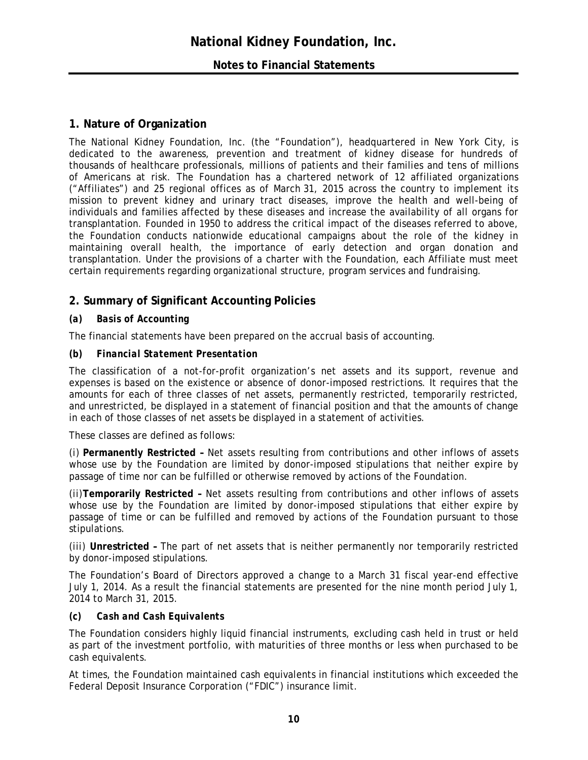# **1. Nature of Organization**

The National Kidney Foundation, Inc. (the "Foundation"), headquartered in New York City, is dedicated to the awareness, prevention and treatment of kidney disease for hundreds of thousands of healthcare professionals, millions of patients and their families and tens of millions of Americans at risk. The Foundation has a chartered network of 12 affiliated organizations ("Affiliates") and 25 regional offices as of March 31, 2015 across the country to implement its mission to prevent kidney and urinary tract diseases, improve the health and well-being of individuals and families affected by these diseases and increase the availability of all organs for transplantation. Founded in 1950 to address the critical impact of the diseases referred to above, the Foundation conducts nationwide educational campaigns about the role of the kidney in maintaining overall health, the importance of early detection and organ donation and transplantation. Under the provisions of a charter with the Foundation, each Affiliate must meet certain requirements regarding organizational structure, program services and fundraising.

# **2. Summary of Significant Accounting Policies**

# *(a) Basis of Accounting*

The financial statements have been prepared on the accrual basis of accounting.

## *(b) Financial Statement Presentation*

The classification of a not-for-profit organization's net assets and its support, revenue and expenses is based on the existence or absence of donor-imposed restrictions. It requires that the amounts for each of three classes of net assets, permanently restricted, temporarily restricted, and unrestricted, be displayed in a statement of financial position and that the amounts of change in each of those classes of net assets be displayed in a statement of activities.

These classes are defined as follows:

*(i)* **Permanently Restricted –** Net assets resulting from contributions and other inflows of assets whose use by the Foundation are limited by donor-imposed stipulations that neither expire by passage of time nor can be fulfilled or otherwise removed by actions of the Foundation.

*(ii)***Temporarily Restricted –** Net assets resulting from contributions and other inflows of assets whose use by the Foundation are limited by donor-imposed stipulations that either expire by passage of time or can be fulfilled and removed by actions of the Foundation pursuant to those stipulations.

*(iii)* **Unrestricted –** The part of net assets that is neither permanently nor temporarily restricted by donor-imposed stipulations.

The Foundation's Board of Directors approved a change to a March 31 fiscal year-end effective July 1, 2014. As a result the financial statements are presented for the nine month period July 1, 2014 to March 31, 2015.

#### *(c) Cash and Cash Equivalents*

The Foundation considers highly liquid financial instruments, excluding cash held in trust or held as part of the investment portfolio, with maturities of three months or less when purchased to be cash equivalents.

At times, the Foundation maintained cash equivalents in financial institutions which exceeded the Federal Deposit Insurance Corporation ("FDIC") insurance limit.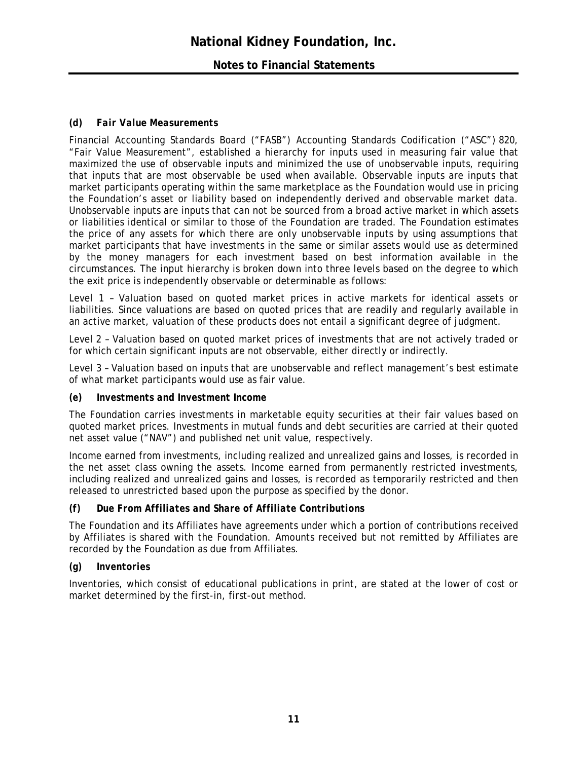# **National Kidney Foundation, Inc.**

# **Notes to Financial Statements**

#### *(d) Fair Value Measurements*

Financial Accounting Standards Board ("FASB") Accounting Standards Codification ("ASC") 820, "Fair Value Measurement", established a hierarchy for inputs used in measuring fair value that maximized the use of observable inputs and minimized the use of unobservable inputs, requiring that inputs that are most observable be used when available. Observable inputs are inputs that market participants operating within the same marketplace as the Foundation would use in pricing the Foundation's asset or liability based on independently derived and observable market data. Unobservable inputs are inputs that can not be sourced from a broad active market in which assets or liabilities identical or similar to those of the Foundation are traded. The Foundation estimates the price of any assets for which there are only unobservable inputs by using assumptions that market participants that have investments in the same or similar assets would use as determined by the money managers for each investment based on best information available in the circumstances. The input hierarchy is broken down into three levels based on the degree to which the exit price is independently observable or determinable as follows:

Level 1 – Valuation based on quoted market prices in active markets for identical assets or liabilities. Since valuations are based on quoted prices that are readily and regularly available in an active market, valuation of these products does not entail a significant degree of judgment.

Level 2 – Valuation based on quoted market prices of investments that are not actively traded or for which certain significant inputs are not observable, either directly or indirectly.

Level 3 – Valuation based on inputs that are unobservable and reflect management's best estimate of what market participants would use as fair value.

#### *(e) Investments and Investment Income*

The Foundation carries investments in marketable equity securities at their fair values based on quoted market prices. Investments in mutual funds and debt securities are carried at their quoted net asset value ("NAV") and published net unit value, respectively.

Income earned from investments, including realized and unrealized gains and losses, is recorded in the net asset class owning the assets. Income earned from permanently restricted investments, including realized and unrealized gains and losses, is recorded as temporarily restricted and then released to unrestricted based upon the purpose as specified by the donor.

#### *(f) Due From Affiliates and Share of Affiliate Contributions*

The Foundation and its Affiliates have agreements under which a portion of contributions received by Affiliates is shared with the Foundation. Amounts received but not remitted by Affiliates are recorded by the Foundation as due from Affiliates.

#### *(g) Inventories*

Inventories, which consist of educational publications in print, are stated at the lower of cost or market determined by the first-in, first-out method.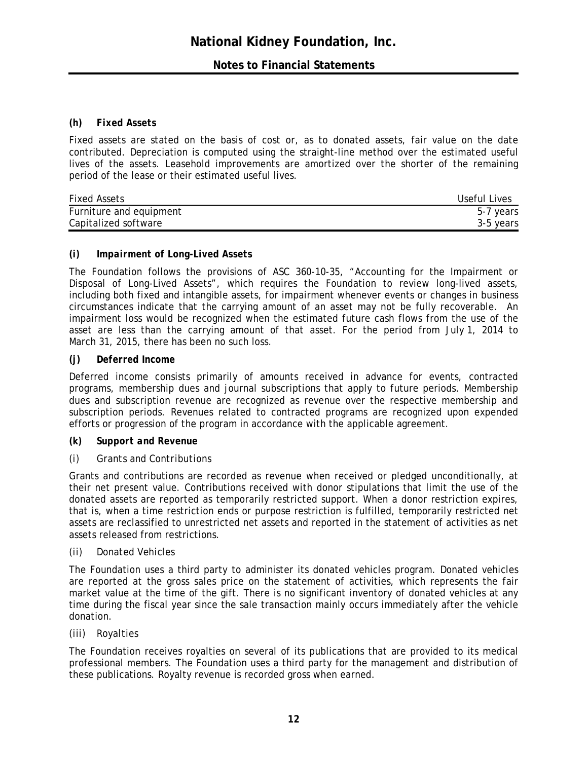#### *(h) Fixed Assets*

Fixed assets are stated on the basis of cost or, as to donated assets, fair value on the date contributed. Depreciation is computed using the straight-line method over the estimated useful lives of the assets. Leasehold improvements are amortized over the shorter of the remaining period of the lease or their estimated useful lives.

| <b>Fixed Assets</b>     | Useful Lives |
|-------------------------|--------------|
| Furniture and equipment | 5-7 years    |
| Capitalized software    | 3-5 years    |

#### *(i) Impairment of Long-Lived Assets*

The Foundation follows the provisions of ASC 360-10-35, "Accounting for the Impairment or Disposal of Long-Lived Assets", which requires the Foundation to review long-lived assets, including both fixed and intangible assets, for impairment whenever events or changes in business circumstances indicate that the carrying amount of an asset may not be fully recoverable. An impairment loss would be recognized when the estimated future cash flows from the use of the asset are less than the carrying amount of that asset. For the period from July 1, 2014 to March 31, 2015, there has been no such loss.

#### *(j) Deferred Income*

Deferred income consists primarily of amounts received in advance for events, contracted programs, membership dues and journal subscriptions that apply to future periods. Membership dues and subscription revenue are recognized as revenue over the respective membership and subscription periods. Revenues related to contracted programs are recognized upon expended efforts or progression of the program in accordance with the applicable agreement.

#### *(k) Support and Revenue*

#### *(i) Grants and Contributions*

Grants and contributions are recorded as revenue when received or pledged unconditionally, at their net present value. Contributions received with donor stipulations that limit the use of the donated assets are reported as temporarily restricted support. When a donor restriction expires, that is, when a time restriction ends or purpose restriction is fulfilled, temporarily restricted net assets are reclassified to unrestricted net assets and reported in the statement of activities as net assets released from restrictions.

#### *(ii) Donated Vehicles*

The Foundation uses a third party to administer its donated vehicles program. Donated vehicles are reported at the gross sales price on the statement of activities, which represents the fair market value at the time of the gift. There is no significant inventory of donated vehicles at any time during the fiscal year since the sale transaction mainly occurs immediately after the vehicle donation.

#### *(iii) Royalties*

The Foundation receives royalties on several of its publications that are provided to its medical professional members. The Foundation uses a third party for the management and distribution of these publications. Royalty revenue is recorded gross when earned.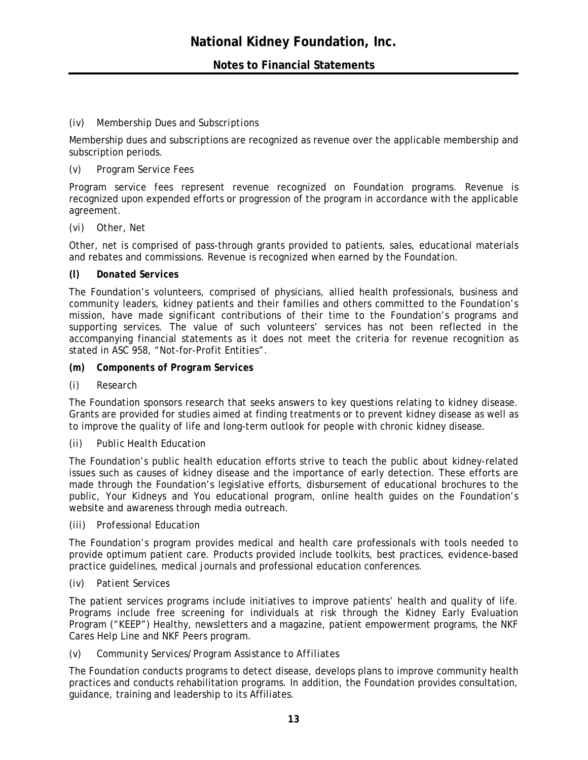## *(iv) Membership Dues and Subscriptions*

Membership dues and subscriptions are recognized as revenue over the applicable membership and subscription periods.

#### *(v) Program Service Fees*

Program service fees represent revenue recognized on Foundation programs. Revenue is recognized upon expended efforts or progression of the program in accordance with the applicable agreement.

#### *(vi) Other, Net*

Other, net is comprised of pass-through grants provided to patients, sales, educational materials and rebates and commissions. Revenue is recognized when earned by the Foundation.

#### *(l) Donated Services*

The Foundation's volunteers, comprised of physicians, allied health professionals, business and community leaders, kidney patients and their families and others committed to the Foundation's mission, have made significant contributions of their time to the Foundation's programs and supporting services. The value of such volunteers' services has not been reflected in the accompanying financial statements as it does not meet the criteria for revenue recognition as stated in ASC 958, "Not-for-Profit Entities".

- *(m) Components of Program Services*
- *(i) Research*

The Foundation sponsors research that seeks answers to key questions relating to kidney disease. Grants are provided for studies aimed at finding treatments or to prevent kidney disease as well as to improve the quality of life and long-term outlook for people with chronic kidney disease.

#### *(ii) Public Health Education*

The Foundation's public health education efforts strive to teach the public about kidney-related issues such as causes of kidney disease and the importance of early detection. These efforts are made through the Foundation's legislative efforts, disbursement of educational brochures to the public, Your Kidneys and You educational program, online health guides on the Foundation's website and awareness through media outreach.

#### *(iii) Professional Education*

The Foundation's program provides medical and health care professionals with tools needed to provide optimum patient care. Products provided include toolkits, best practices, evidence-based practice guidelines, medical journals and professional education conferences.

#### *(iv) Patient Services*

The patient services programs include initiatives to improve patients' health and quality of life. Programs include free screening for individuals at risk through the Kidney Early Evaluation Program ("KEEP") Healthy, newsletters and a magazine, patient empowerment programs, the NKF Cares Help Line and NKF Peers program.

#### *(v) Community Services/Program Assistance to Affiliates*

The Foundation conducts programs to detect disease, develops plans to improve community health practices and conducts rehabilitation programs. In addition, the Foundation provides consultation, guidance, training and leadership to its Affiliates.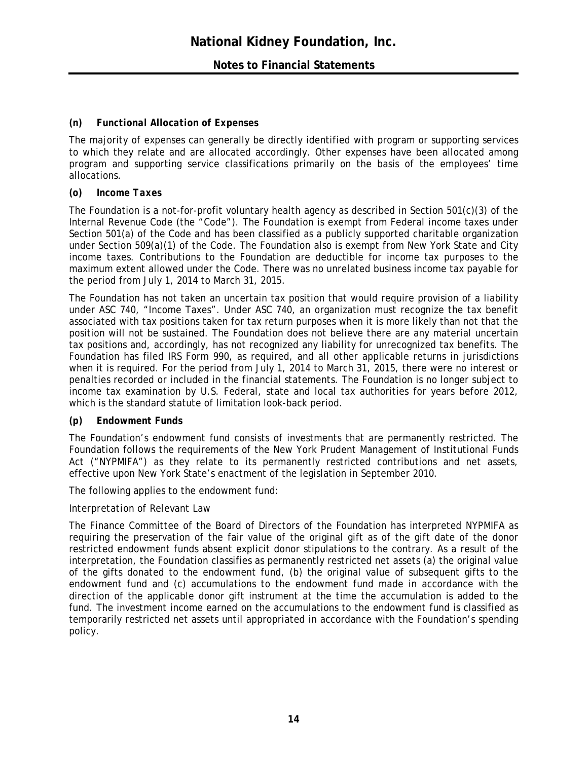## *(n) Functional Allocation of Expenses*

The majority of expenses can generally be directly identified with program or supporting services to which they relate and are allocated accordingly. Other expenses have been allocated among program and supporting service classifications primarily on the basis of the employees' time allocations.

#### *(o) Income Taxes*

The Foundation is a not-for-profit voluntary health agency as described in Section 501(c)(3) of the Internal Revenue Code (the "Code"). The Foundation is exempt from Federal income taxes under Section 501(a) of the Code and has been classified as a publicly supported charitable organization under Section 509(a)(1) of the Code. The Foundation also is exempt from New York State and City income taxes. Contributions to the Foundation are deductible for income tax purposes to the maximum extent allowed under the Code. There was no unrelated business income tax payable for the period from July 1, 2014 to March 31, 2015.

The Foundation has not taken an uncertain tax position that would require provision of a liability under ASC 740, "Income Taxes". Under ASC 740, an organization must recognize the tax benefit associated with tax positions taken for tax return purposes when it is more likely than not that the position will not be sustained. The Foundation does not believe there are any material uncertain tax positions and, accordingly, has not recognized any liability for unrecognized tax benefits. The Foundation has filed IRS Form 990, as required, and all other applicable returns in jurisdictions when it is required. For the period from July 1, 2014 to March 31, 2015, there were no interest or penalties recorded or included in the financial statements. The Foundation is no longer subject to income tax examination by U.S. Federal, state and local tax authorities for years before 2012, which is the standard statute of limitation look-back period.

#### *(p) Endowment Funds*

The Foundation's endowment fund consists of investments that are permanently restricted. The Foundation follows the requirements of the New York Prudent Management of Institutional Funds Act ("NYPMIFA") as they relate to its permanently restricted contributions and net assets, effective upon New York State's enactment of the legislation in September 2010.

The following applies to the endowment fund:

#### *Interpretation of Relevant Law*

The Finance Committee of the Board of Directors of the Foundation has interpreted NYPMIFA as requiring the preservation of the fair value of the original gift as of the gift date of the donor restricted endowment funds absent explicit donor stipulations to the contrary. As a result of the interpretation, the Foundation classifies as permanently restricted net assets (a) the original value of the gifts donated to the endowment fund, (b) the original value of subsequent gifts to the endowment fund and (c) accumulations to the endowment fund made in accordance with the direction of the applicable donor gift instrument at the time the accumulation is added to the fund. The investment income earned on the accumulations to the endowment fund is classified as temporarily restricted net assets until appropriated in accordance with the Foundation's spending policy.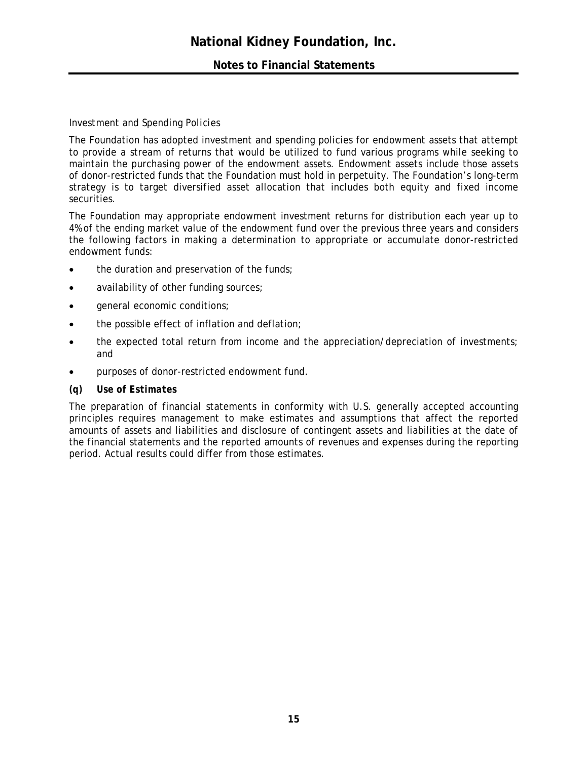#### *Investment and Spending Policies*

The Foundation has adopted investment and spending policies for endowment assets that attempt to provide a stream of returns that would be utilized to fund various programs while seeking to maintain the purchasing power of the endowment assets. Endowment assets include those assets of donor-restricted funds that the Foundation must hold in perpetuity. The Foundation's long-term strategy is to target diversified asset allocation that includes both equity and fixed income securities.

The Foundation may appropriate endowment investment returns for distribution each year up to 4% of the ending market value of the endowment fund over the previous three years and considers the following factors in making a determination to appropriate or accumulate donor-restricted endowment funds:

- the duration and preservation of the funds;
- availability of other funding sources;
- **•** general economic conditions;
- the possible effect of inflation and deflation;
- the expected total return from income and the appreciation/depreciation of investments; and
- purposes of donor-restricted endowment fund.

#### *(q) Use of Estimates*

The preparation of financial statements in conformity with U.S. generally accepted accounting principles requires management to make estimates and assumptions that affect the reported amounts of assets and liabilities and disclosure of contingent assets and liabilities at the date of the financial statements and the reported amounts of revenues and expenses during the reporting period. Actual results could differ from those estimates.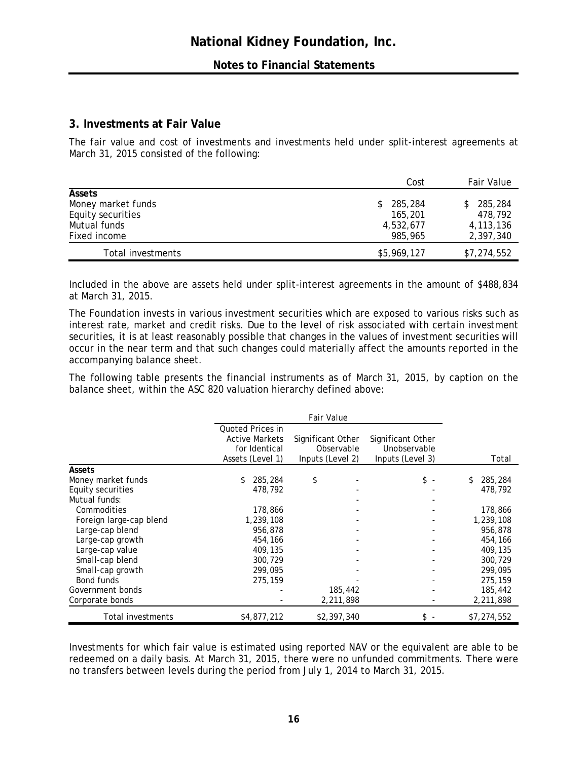## **3. Investments at Fair Value**

The fair value and cost of investments and investments held under split-interest agreements at March 31, 2015 consisted of the following:

|                    | Cost        | <b>Fair Value</b> |
|--------------------|-------------|-------------------|
| <b>Assets</b>      |             |                   |
| Money market funds | \$285.284   | 285,284           |
| Equity securities  | 165,201     | 478,792           |
| Mutual funds       | 4,532,677   | 4,113,136         |
| Fixed income       | 985,965     | 2,397,340         |
| Total investments  | \$5,969,127 | \$7,274,552       |

Included in the above are assets held under split-interest agreements in the amount of \$488,834 at March 31, 2015.

The Foundation invests in various investment securities which are exposed to various risks such as interest rate, market and credit risks. Due to the level of risk associated with certain investment securities, it is at least reasonably possible that changes in the values of investment securities will occur in the near term and that such changes could materially affect the amounts reported in the accompanying balance sheet.

The following table presents the financial instruments as of March 31, 2015, by caption on the balance sheet, within the ASC 820 valuation hierarchy defined above:

|                         |                                                                                | <b>Fair Value</b>                                   |                                                       |               |
|-------------------------|--------------------------------------------------------------------------------|-----------------------------------------------------|-------------------------------------------------------|---------------|
|                         | Quoted Prices in<br><b>Active Markets</b><br>for Identical<br>Assets (Level 1) | Significant Other<br>Observable<br>Inputs (Level 2) | Significant Other<br>Unobservable<br>Inputs (Level 3) | Total         |
| Assets                  |                                                                                |                                                     |                                                       |               |
| Money market funds      | 285,284                                                                        | \$                                                  | \$-                                                   | 285,284<br>\$ |
| Equity securities       | 478,792                                                                        |                                                     |                                                       | 478,792       |
| Mutual funds:           |                                                                                |                                                     |                                                       |               |
| Commodities             | 178,866                                                                        |                                                     |                                                       | 178,866       |
| Foreign large-cap blend | 1,239,108                                                                      |                                                     |                                                       | 1,239,108     |
| Large-cap blend         | 956,878                                                                        |                                                     |                                                       | 956,878       |
| Large-cap growth        | 454,166                                                                        |                                                     |                                                       | 454,166       |
| Large-cap value         | 409,135                                                                        |                                                     |                                                       | 409,135       |
| Small-cap blend         | 300,729                                                                        |                                                     |                                                       | 300,729       |
| Small-cap growth        | 299,095                                                                        |                                                     |                                                       | 299,095       |
| Bond funds              | 275,159                                                                        |                                                     |                                                       | 275,159       |
| Government bonds        |                                                                                | 185,442                                             |                                                       | 185,442       |
| Corporate bonds         |                                                                                | 2,211,898                                           |                                                       | 2,211,898     |
| Total investments       | \$4,877,212                                                                    | \$2,397,340                                         | \$                                                    | \$7,274,552   |

Investments for which fair value is estimated using reported NAV or the equivalent are able to be redeemed on a daily basis. At March 31, 2015, there were no unfunded commitments. There were no transfers between levels during the period from July 1, 2014 to March 31, 2015.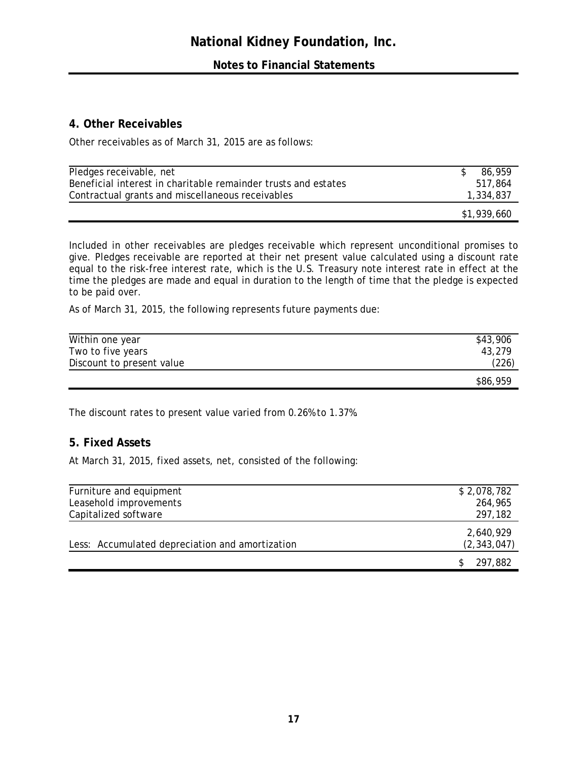# **4. Other Receivables**

Other receivables as of March 31, 2015 are as follows:

| Pledges receivable, net                                        | 86.959      |
|----------------------------------------------------------------|-------------|
| Beneficial interest in charitable remainder trusts and estates | 517,864     |
| Contractual grants and miscellaneous receivables               | 1,334,837   |
|                                                                | \$1,939,660 |

Included in other receivables are pledges receivable which represent unconditional promises to give. Pledges receivable are reported at their net present value calculated using a discount rate equal to the risk-free interest rate, which is the U.S. Treasury note interest rate in effect at the time the pledges are made and equal in duration to the length of time that the pledge is expected to be paid over.

As of March 31, 2015, the following represents future payments due:

| Within one year           | \$43,906 |
|---------------------------|----------|
| Two to five years         | 43,279   |
| Discount to present value | (226)    |
|                           | \$86,959 |

The discount rates to present value varied from 0.26% to 1.37%.

#### **5. Fixed Assets**

At March 31, 2015, fixed assets, net, consisted of the following:

| Furniture and equipment                         | \$2,078,782   |
|-------------------------------------------------|---------------|
| Leasehold improvements                          | 264,965       |
| Capitalized software                            | 297,182       |
|                                                 | 2,640,929     |
| Less: Accumulated depreciation and amortization | (2, 343, 047) |
|                                                 | 297.882       |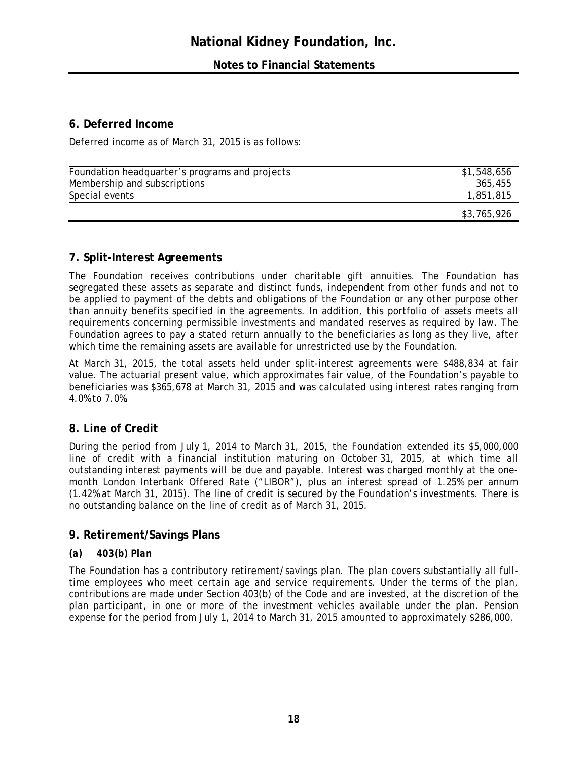# **6. Deferred Income**

Deferred income as of March 31, 2015 is as follows:

| Foundation headquarter's programs and projects | \$1,548,656 |
|------------------------------------------------|-------------|
| Membership and subscriptions                   | 365,455     |
| Special events                                 | 1,851,815   |
|                                                | \$3,765,926 |

# **7. Split-Interest Agreements**

The Foundation receives contributions under charitable gift annuities. The Foundation has segregated these assets as separate and distinct funds, independent from other funds and not to be applied to payment of the debts and obligations of the Foundation or any other purpose other than annuity benefits specified in the agreements. In addition, this portfolio of assets meets all requirements concerning permissible investments and mandated reserves as required by law. The Foundation agrees to pay a stated return annually to the beneficiaries as long as they live, after which time the remaining assets are available for unrestricted use by the Foundation.

At March 31, 2015, the total assets held under split-interest agreements were \$488,834 at fair value. The actuarial present value, which approximates fair value, of the Foundation's payable to beneficiaries was \$365,678 at March 31, 2015 and was calculated using interest rates ranging from 4.0% to 7.0%.

# **8. Line of Credit**

During the period from July 1, 2014 to March 31, 2015, the Foundation extended its \$5,000,000 line of credit with a financial institution maturing on October 31, 2015, at which time all outstanding interest payments will be due and payable. Interest was charged monthly at the onemonth London Interbank Offered Rate ("LIBOR"), plus an interest spread of 1.25% per annum (1.42% at March 31, 2015). The line of credit is secured by the Foundation's investments. There is no outstanding balance on the line of credit as of March 31, 2015.

# **9. Retirement/Savings Plans**

#### *(a) 403(b) Plan*

The Foundation has a contributory retirement/savings plan. The plan covers substantially all fulltime employees who meet certain age and service requirements. Under the terms of the plan, contributions are made under Section 403(b) of the Code and are invested, at the discretion of the plan participant, in one or more of the investment vehicles available under the plan. Pension expense for the period from July 1, 2014 to March 31, 2015 amounted to approximately \$286,000.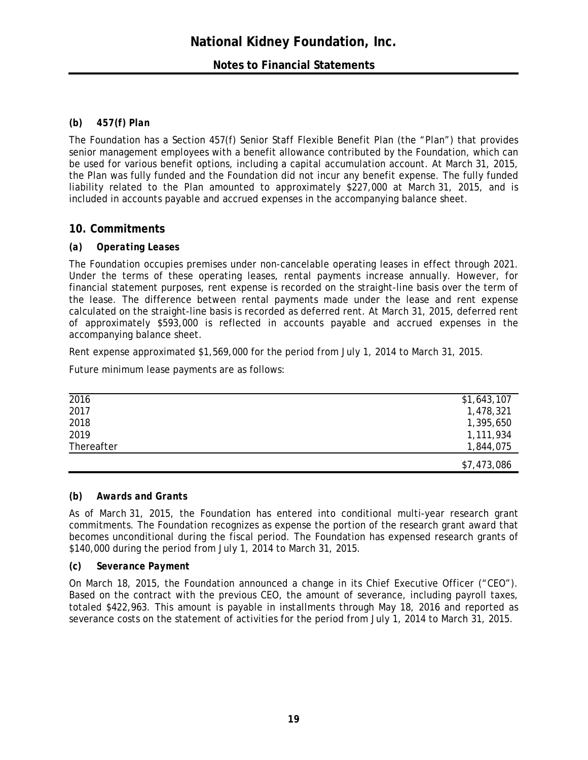## *(b) 457(f) Plan*

The Foundation has a Section 457(f) Senior Staff Flexible Benefit Plan (the "Plan") that provides senior management employees with a benefit allowance contributed by the Foundation, which can be used for various benefit options, including a capital accumulation account. At March 31, 2015, the Plan was fully funded and the Foundation did not incur any benefit expense. The fully funded liability related to the Plan amounted to approximately \$227,000 at March 31, 2015, and is included in accounts payable and accrued expenses in the accompanying balance sheet.

## **10. Commitments**

#### *(a) Operating Leases*

The Foundation occupies premises under non-cancelable operating leases in effect through 2021. Under the terms of these operating leases, rental payments increase annually. However, for financial statement purposes, rent expense is recorded on the straight-line basis over the term of the lease. The difference between rental payments made under the lease and rent expense calculated on the straight-line basis is recorded as deferred rent. At March 31, 2015, deferred rent of approximately \$593,000 is reflected in accounts payable and accrued expenses in the accompanying balance sheet.

Rent expense approximated \$1,569,000 for the period from July 1, 2014 to March 31, 2015.

Future minimum lease payments are as follows:

| 2016       | \$1,643,107 |
|------------|-------------|
| 2017       | 1,478,321   |
| 2018       | 1,395,650   |
| 2019       | 1,111,934   |
| Thereafter | 1,844,075   |
|            | \$7,473,086 |

#### *(b) Awards and Grants*

As of March 31, 2015, the Foundation has entered into conditional multi-year research grant commitments. The Foundation recognizes as expense the portion of the research grant award that becomes unconditional during the fiscal period. The Foundation has expensed research grants of \$140,000 during the period from July 1, 2014 to March 31, 2015.

#### *(c) Severance Payment*

On March 18, 2015, the Foundation announced a change in its Chief Executive Officer ("CEO"). Based on the contract with the previous CEO, the amount of severance, including payroll taxes, totaled \$422,963. This amount is payable in installments through May 18, 2016 and reported as severance costs on the statement of activities for the period from July 1, 2014 to March 31, 2015.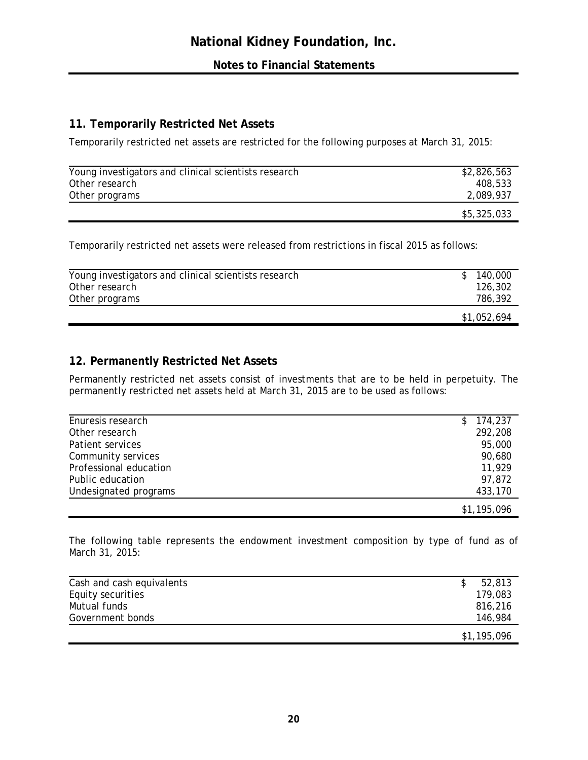# **11. Temporarily Restricted Net Assets**

Temporarily restricted net assets are restricted for the following purposes at March 31, 2015:

| Young investigators and clinical scientists research | \$2,826,563 |
|------------------------------------------------------|-------------|
| Other research                                       | 408,533     |
| Other programs                                       | 2,089,937   |
|                                                      | \$5,325,033 |

Temporarily restricted net assets were released from restrictions in fiscal 2015 as follows:

| Young investigators and clinical scientists research | 140,000     |
|------------------------------------------------------|-------------|
| Other research                                       | 126,302     |
| Other programs                                       | 786,392     |
|                                                      | \$1,052,694 |

# **12. Permanently Restricted Net Assets**

Permanently restricted net assets consist of investments that are to be held in perpetuity. The permanently restricted net assets held at March 31, 2015 are to be used as follows:

| Enuresis research      | 174,237     |
|------------------------|-------------|
| Other research         | 292,208     |
| Patient services       | 95,000      |
| Community services     | 90,680      |
| Professional education | 11,929      |
| Public education       | 97,872      |
| Undesignated programs  | 433,170     |
|                        | \$1,195,096 |

The following table represents the endowment investment composition by type of fund as of March 31, 2015:

| Cash and cash equivalents | 52,813      |
|---------------------------|-------------|
| Equity securities         | 179,083     |
| Mutual funds              | 816,216     |
| Government bonds          | 146,984     |
|                           | \$1,195,096 |